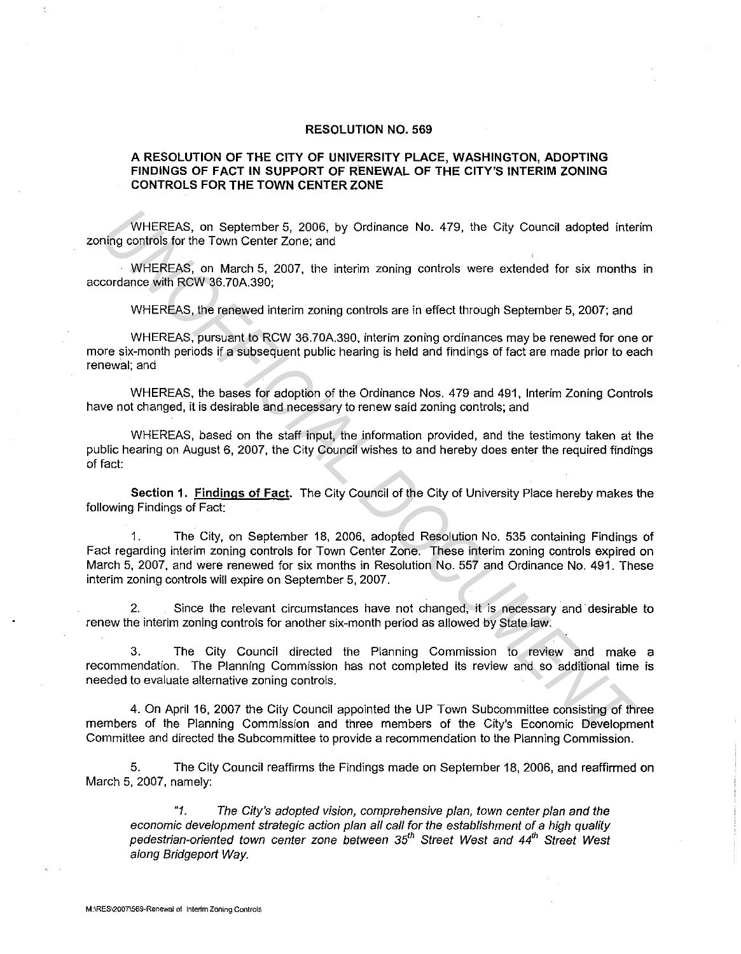## **RESOLUTION NO. 569**

## **A RESOLUTION OF THE CITY OF UNIVERSITY PLACE, WASHINGTON, ADOPTING FINDINGS OF FACT IN SUPPORT OF RENEWAL OF THE CITY'S INTERIM ZONING CONTROLS FOR THE TOWN CENTER ZONE**

WHEREAS, on September 5, 2006, by Ordinance No. 479, the City Council adopted interim zoning controls for the Town Center Zone; and

WHEREAS, on March 5, 2007, the interim zoning controls were extended for six months in accordance with RCW 36.70A.390;

WHEREAS, the renewed interim zoning controls are in effect through September 5, 2007; and

WHEREAS, pursuant to RCW 36.70A.390, interim zoning ordinances may be renewed for one or more six-month periods if a subsequent public hearing is held and findings of fact are made prior to each renewal; and

WHEREAS, the bases for adoption of the Ordinance Nos. 479 and 491, Interim Zoning Controls have not changed, it is desirable and necessary to renew said zoning controls; and

WHEREAS, based on the staff input, the information provided, and the testimony taken at the public hearing on August 6, 2007, the City Council wishes to and hereby does enter the required findings of fact:

**Section 1. Findings of Fact.** The City Council of the City of University Place hereby makes the following Findings of Fact:

1. The City, on September 18, 2006, adopted Resolution No. 535 containing Findings of Fact regarding interim zoning controls for Town Center Zone. These interim zoning controls expired on March 5, 2007, and were renewed for six months in Resolution No. 557 and Ordinance No. 491. These interim zoning controls will expire on September 5, 2007. WHEREAS, on September 5, 2006, by Ordinance No. 479, the City Council adopted inter<br> *UNIEREAS*, on March 5, 2007, the interim zoning controls were extended for six months<br>
UNIEREAS, on March 5, 2007, the interim zoning co

2. Since the relevant circumstances have not changed, it is necessary and desirable to renew the interim zoning controls for another six-month period as allowed by State law.

3. The City Council directed the Planning Commission to review and make a recommendation. The Planning Commission has not completed its review and so additional time is needed to evaluate alternative zoning controls.

4. On April 16, 2007 the City Council appointed the UP Town Subcommittee consisting of three members of the Planning Commission and three members of the City's Economic Development Committee and directed the Subcornrnittee to provide a recommendation to the Planning Commission.

5. The City Council reaffirms the Findings made on September 18, 2006, and reaffirmed on March 5, 2007, namely:

"1. The City's adopted vision, comprehensive plan, town center plan and the economic development strategic action plan all call for the establishment of a high quality pedestrian-oriented town center zone between 35<sup>th</sup> Street West and 44<sup>th</sup> Street West along Bridgeport Way.